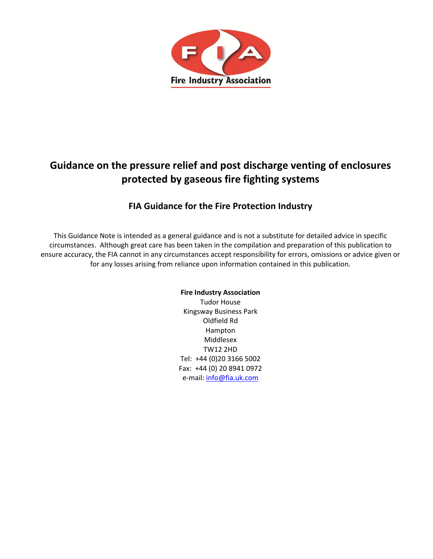

# **Guidance on the pressure relief and post discharge venting of enclosures protected by gaseous fire fighting systems**

# **FIA Guidance for the Fire Protection Industry**

This Guidance Note is intended as a general guidance and is not a substitute for detailed advice in specific circumstances. Although great care has been taken in the compilation and preparation of this publication to ensure accuracy, the FIA cannot in any circumstances accept responsibility for errors, omissions or advice given or for any losses arising from reliance upon information contained in this publication*.*

# **Fire Industry Association**

Tudor House Kingsway Business Park Oldfield Rd Hampton Middlesex TW12 2HD Tel: +44 (0)20 3166 5002 Fax: +44 (0) 20 8941 0972 e-mail[: info@fia.uk.com](mailto:info@fia.uk.com)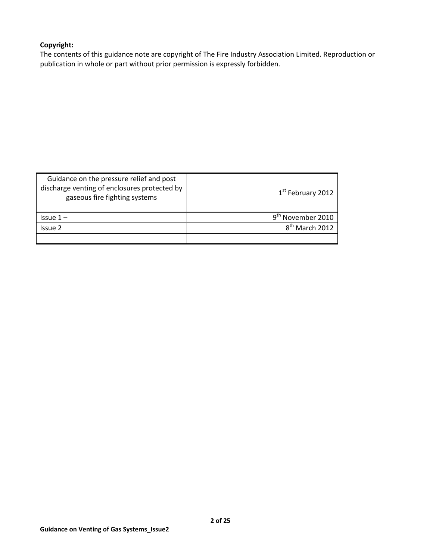# **Copyright:**

The contents of this guidance note are copyright of The Fire Industry Association Limited. Reproduction or publication in whole or part without prior permission is expressly forbidden.

| Guidance on the pressure relief and post<br>discharge venting of enclosures protected by<br>gaseous fire fighting systems | $1st$ February 2012                  |
|---------------------------------------------------------------------------------------------------------------------------|--------------------------------------|
| $Is sue 1 -$                                                                                                              | November 2010                        |
| Issue 2                                                                                                                   | $R^{\text{th}}$<br><b>March 2012</b> |
|                                                                                                                           |                                      |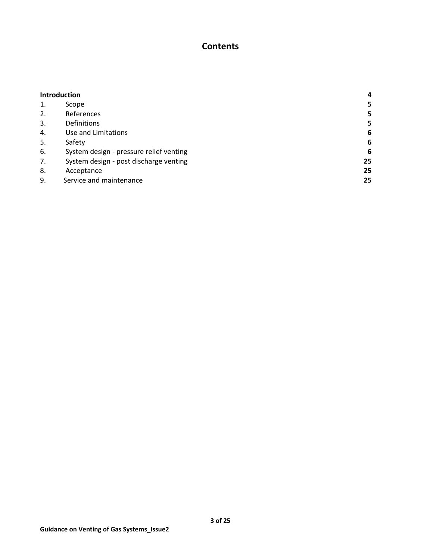# **Contents**

| <b>Introduction</b> |                                         | 4  |
|---------------------|-----------------------------------------|----|
| 1.                  | Scope                                   | 5  |
| 2.                  | References                              | 5  |
| 3.                  | <b>Definitions</b>                      | 5  |
| 4.                  | Use and Limitations                     | 6  |
| 5.                  | Safety                                  | 6  |
| 6.                  | System design - pressure relief venting | 6  |
| 7.                  | System design - post discharge venting  | 25 |
| 8.                  | Acceptance                              | 25 |
| 9.                  | Service and maintenance                 | 25 |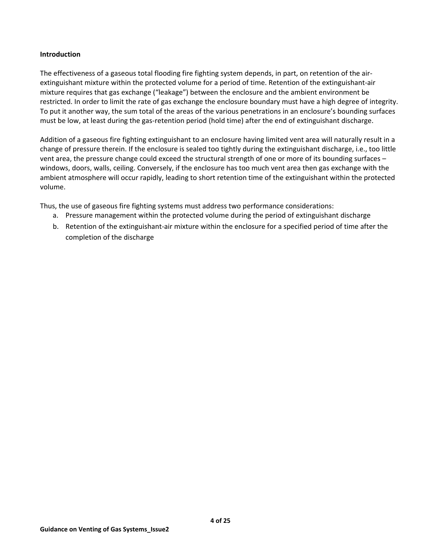## **Introduction**

The effectiveness of a gaseous total flooding fire fighting system depends, in part, on retention of the airextinguishant mixture within the protected volume for a period of time. Retention of the extinguishant-air mixture requires that gas exchange ("leakage") between the enclosure and the ambient environment be restricted. In order to limit the rate of gas exchange the enclosure boundary must have a high degree of integrity. To put it another way, the sum total of the areas of the various penetrations in an enclosure's bounding surfaces must be low, at least during the gas-retention period (hold time) after the end of extinguishant discharge.

Addition of a gaseous fire fighting extinguishant to an enclosure having limited vent area will naturally result in a change of pressure therein. If the enclosure is sealed too tightly during the extinguishant discharge, i.e., too little vent area, the pressure change could exceed the structural strength of one or more of its bounding surfaces – windows, doors, walls, ceiling. Conversely, if the enclosure has too much vent area then gas exchange with the ambient atmosphere will occur rapidly, leading to short retention time of the extinguishant within the protected volume.

Thus, the use of gaseous fire fighting systems must address two performance considerations:

- a. Pressure management within the protected volume during the period of extinguishant discharge
- b. Retention of the extinguishant-air mixture within the enclosure for a specified period of time after the completion of the discharge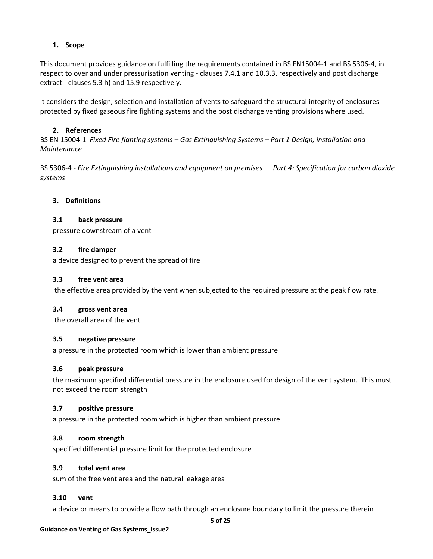## **1. Scope**

This document provides guidance on fulfilling the requirements contained in BS EN15004-1 and BS 5306-4, in respect to over and under pressurisation venting - clauses 7.4.1 and 10.3.3. respectively and post discharge extract - clauses 5.3 h) and 15.9 respectively.

It considers the design, selection and installation of vents to safeguard the structural integrity of enclosures protected by fixed gaseous fire fighting systems and the post discharge venting provisions where used.

## **2. References**

BS EN 15004-1 *Fixed Fire fighting systems – Gas Extinguishing Systems – Part 1 Design, installation and Maintenance*

BS 5306-4 - *Fire Extinguishing installations and equipment on premises — Part 4: Specification for carbon dioxide systems*

## **3. Definitions**

#### **3.1 back pressure**

pressure downstream of a vent

#### **3.2 fire damper**

a device designed to prevent the spread of fire

#### **3.3 free vent area**

the effective area provided by the vent when subjected to the required pressure at the peak flow rate.

#### **3.4 gross vent area**

the overall area of the vent

#### **3.5 negative pressure**

a pressure in the protected room which is lower than ambient pressure

#### **3.6 peak pressure**

the maximum specified differential pressure in the enclosure used for design of the vent system. This must not exceed the room strength

## **3.7 positive pressure**

a pressure in the protected room which is higher than ambient pressure

## **3.8 room strength**

specified differential pressure limit for the protected enclosure

#### **3.9 total vent area**

sum of the free vent area and the natural leakage area

#### **3.10 vent**

a device or means to provide a flow path through an enclosure boundary to limit the pressure therein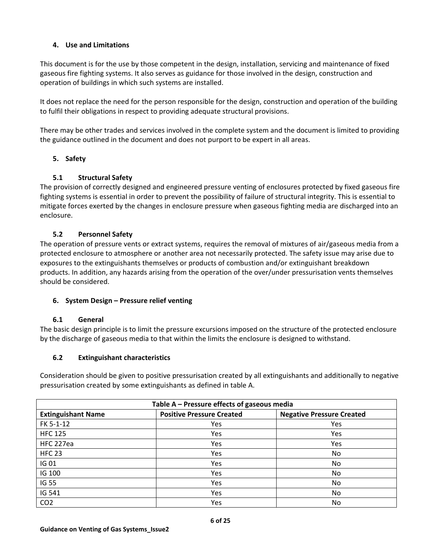# **4. Use and Limitations**

This document is for the use by those competent in the design, installation, servicing and maintenance of fixed gaseous fire fighting systems. It also serves as guidance for those involved in the design, construction and operation of buildings in which such systems are installed.

It does not replace the need for the person responsible for the design, construction and operation of the building to fulfil their obligations in respect to providing adequate structural provisions.

There may be other trades and services involved in the complete system and the document is limited to providing the guidance outlined in the document and does not purport to be expert in all areas.

# **5. Safety**

# **5.1 Structural Safety**

The provision of correctly designed and engineered pressure venting of enclosures protected by fixed gaseous fire fighting systems is essential in order to prevent the possibility of failure of structural integrity. This is essential to mitigate forces exerted by the changes in enclosure pressure when gaseous fighting media are discharged into an enclosure.

# **5.2 Personnel Safety**

The operation of pressure vents or extract systems, requires the removal of mixtures of air/gaseous media from a protected enclosure to atmosphere or another area not necessarily protected. The safety issue may arise due to exposures to the extinguishants themselves or products of combustion and/or extinguishant breakdown products. In addition, any hazards arising from the operation of the over/under pressurisation vents themselves should be considered.

# **6. System Design – Pressure relief venting**

## **6.1 General**

The basic design principle is to limit the pressure excursions imposed on the structure of the protected enclosure by the discharge of gaseous media to that within the limits the enclosure is designed to withstand.

# **6.2 Extinguishant characteristics**

Consideration should be given to positive pressurisation created by all extinguishants and additionally to negative pressurisation created by some extinguishants as defined in table A.

| Table A - Pressure effects of gaseous media |                                  |                                  |  |
|---------------------------------------------|----------------------------------|----------------------------------|--|
| <b>Extinguishant Name</b>                   | <b>Positive Pressure Created</b> | <b>Negative Pressure Created</b> |  |
| FK 5-1-12                                   | Yes                              | Yes                              |  |
| <b>HFC 125</b>                              | Yes                              | Yes                              |  |
| HFC 227ea                                   | Yes                              | Yes                              |  |
| <b>HFC 23</b>                               | Yes                              | No.                              |  |
| IG 01                                       | <b>Yes</b>                       | No.                              |  |
| IG 100                                      | Yes                              | No.                              |  |
| <b>IG 55</b>                                | Yes                              | No.                              |  |
| IG 541                                      | Yes                              | No.                              |  |
| CO <sub>2</sub>                             | Yes                              | No.                              |  |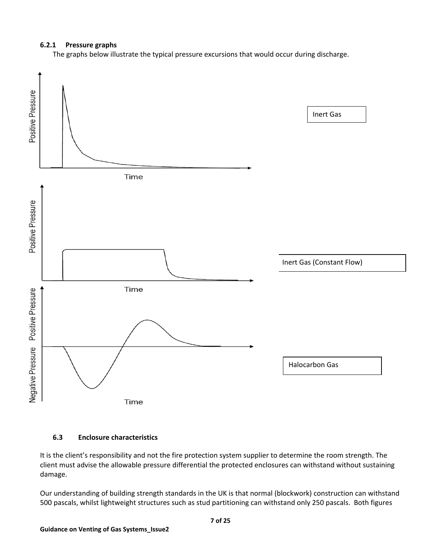## **6.2.1 Pressure graphs**

The graphs below illustrate the typical pressure excursions that would occur during discharge.



#### **6.3 Enclosure characteristics**

It is the client's responsibility and not the fire protection system supplier to determine the room strength. The client must advise the allowable pressure differential the protected enclosures can withstand without sustaining damage.

Our understanding of building strength standards in the UK is that normal (blockwork) construction can withstand 500 pascals, whilst lightweight structures such as stud partitioning can withstand only 250 pascals. Both figures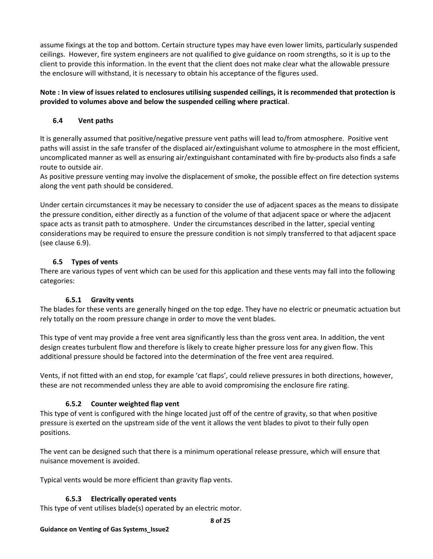assume fixings at the top and bottom. Certain structure types may have even lower limits, particularly suspended ceilings. However, fire system engineers are not qualified to give guidance on room strengths, so it is up to the client to provide this information. In the event that the client does not make clear what the allowable pressure the enclosure will withstand, it is necessary to obtain his acceptance of the figures used.

# **Note : In view of issues related to enclosures utilising suspended ceilings, it is recommended that protection is provided to volumes above and below the suspended ceiling where practical**.

# **6.4 Vent paths**

It is generally assumed that positive/negative pressure vent paths will lead to/from atmosphere. Positive vent paths will assist in the safe transfer of the displaced air/extinguishant volume to atmosphere in the most efficient, uncomplicated manner as well as ensuring air/extinguishant contaminated with fire by-products also finds a safe route to outside air.

As positive pressure venting may involve the displacement of smoke, the possible effect on fire detection systems along the vent path should be considered.

Under certain circumstances it may be necessary to consider the use of adjacent spaces as the means to dissipate the pressure condition, either directly as a function of the volume of that adjacent space or where the adjacent space acts as transit path to atmosphere. Under the circumstances described in the latter, special venting considerations may be required to ensure the pressure condition is not simply transferred to that adjacent space (see clause 6.9).

# **6.5 Types of vents**

There are various types of vent which can be used for this application and these vents may fall into the following categories:

# **6.5.1 Gravity vents**

The blades for these vents are generally hinged on the top edge. They have no electric or pneumatic actuation but rely totally on the room pressure change in order to move the vent blades.

This type of vent may provide a free vent area significantly less than the gross vent area. In addition, the vent design creates turbulent flow and therefore is likely to create higher pressure loss for any given flow. This additional pressure should be factored into the determination of the free vent area required.

Vents, if not fitted with an end stop, for example 'cat flaps', could relieve pressures in both directions, however, these are not recommended unless they are able to avoid compromising the enclosure fire rating.

# **6.5.2 Counter weighted flap vent**

This type of vent is configured with the hinge located just off of the centre of gravity, so that when positive pressure is exerted on the upstream side of the vent it allows the vent blades to pivot to their fully open positions.

The vent can be designed such that there is a minimum operational release pressure, which will ensure that nuisance movement is avoided.

Typical vents would be more efficient than gravity flap vents.

# **6.5.3 Electrically operated vents**

This type of vent utilises blade(s) operated by an electric motor.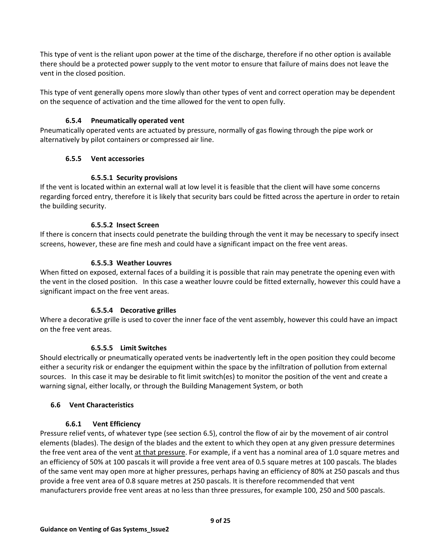This type of vent is the reliant upon power at the time of the discharge, therefore if no other option is available there should be a protected power supply to the vent motor to ensure that failure of mains does not leave the vent in the closed position.

This type of vent generally opens more slowly than other types of vent and correct operation may be dependent on the sequence of activation and the time allowed for the vent to open fully.

# **6.5.4 Pneumatically operated vent**

Pneumatically operated vents are actuated by pressure, normally of gas flowing through the pipe work or alternatively by pilot containers or compressed air line.

## **6.5.5 Vent accessories**

## **6.5.5.1 Security provisions**

If the vent is located within an external wall at low level it is feasible that the client will have some concerns regarding forced entry, therefore it is likely that security bars could be fitted across the aperture in order to retain the building security.

## **6.5.5.2 Insect Screen**

If there is concern that insects could penetrate the building through the vent it may be necessary to specify insect screens, however, these are fine mesh and could have a significant impact on the free vent areas.

## **6.5.5.3 Weather Louvres**

When fitted on exposed, external faces of a building it is possible that rain may penetrate the opening even with the vent in the closed position. In this case a weather louvre could be fitted externally, however this could have a significant impact on the free vent areas.

# **6.5.5.4 Decorative grilles**

Where a decorative grille is used to cover the inner face of the vent assembly, however this could have an impact on the free vent areas.

## **6.5.5.5 Limit Switches**

Should electrically or pneumatically operated vents be inadvertently left in the open position they could become either a security risk or endanger the equipment within the space by the infiltration of pollution from external sources. In this case it may be desirable to fit limit switch(es) to monitor the position of the vent and create a warning signal, either locally, or through the Building Management System, or both

## **6.6 Vent Characteristics**

## **6.6.1 Vent Efficiency**

Pressure relief vents, of whatever type (see section 6.5), control the flow of air by the movement of air control elements (blades). The design of the blades and the extent to which they open at any given pressure determines the free vent area of the vent at that pressure. For example, if a vent has a nominal area of 1.0 square metres and an efficiency of 50% at 100 pascals it will provide a free vent area of 0.5 square metres at 100 pascals. The blades of the same vent may open more at higher pressures, perhaps having an efficiency of 80% at 250 pascals and thus provide a free vent area of 0.8 square metres at 250 pascals. It is therefore recommended that vent manufacturers provide free vent areas at no less than three pressures, for example 100, 250 and 500 pascals.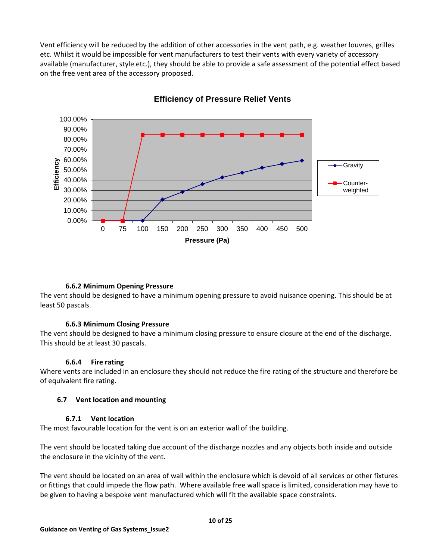Vent efficiency will be reduced by the addition of other accessories in the vent path, e.g. weather louvres, grilles etc. Whilst it would be impossible for vent manufacturers to test their vents with every variety of accessory available (manufacturer, style etc.), they should be able to provide a safe assessment of the potential effect based on the free vent area of the accessory proposed.



# **Efficiency of Pressure Relief Vents**

## **6.6.2 Minimum Opening Pressure**

The vent should be designed to have a minimum opening pressure to avoid nuisance opening. This should be at least 50 pascals.

## **6.6.3 Minimum Closing Pressure**

The vent should be designed to have a minimum closing pressure to ensure closure at the end of the discharge. This should be at least 30 pascals.

#### **6.6.4 Fire rating**

Where vents are included in an enclosure they should not reduce the fire rating of the structure and therefore be of equivalent fire rating.

#### **6.7 Vent location and mounting**

#### **6.7.1 Vent location**

The most favourable location for the vent is on an exterior wall of the building.

The vent should be located taking due account of the discharge nozzles and any objects both inside and outside the enclosure in the vicinity of the vent.

The vent should be located on an area of wall within the enclosure which is devoid of all services or other fixtures or fittings that could impede the flow path. Where available free wall space is limited, consideration may have to be given to having a bespoke vent manufactured which will fit the available space constraints.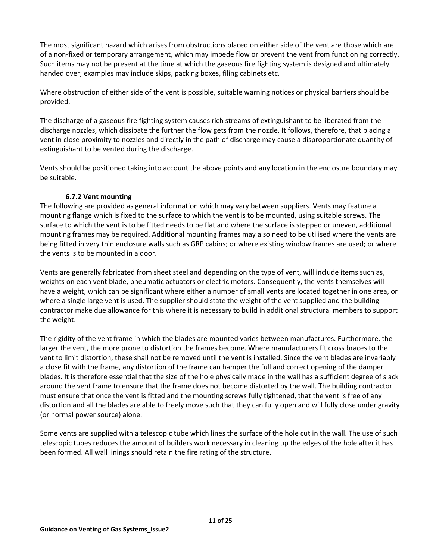The most significant hazard which arises from obstructions placed on either side of the vent are those which are of a non-fixed or temporary arrangement, which may impede flow or prevent the vent from functioning correctly. Such items may not be present at the time at which the gaseous fire fighting system is designed and ultimately handed over; examples may include skips, packing boxes, filing cabinets etc.

Where obstruction of either side of the vent is possible, suitable warning notices or physical barriers should be provided.

The discharge of a gaseous fire fighting system causes rich streams of extinguishant to be liberated from the discharge nozzles, which dissipate the further the flow gets from the nozzle. It follows, therefore, that placing a vent in close proximity to nozzles and directly in the path of discharge may cause a disproportionate quantity of extinguishant to be vented during the discharge.

Vents should be positioned taking into account the above points and any location in the enclosure boundary may be suitable.

## **6.7.2 Vent mounting**

The following are provided as general information which may vary between suppliers. Vents may feature a mounting flange which is fixed to the surface to which the vent is to be mounted, using suitable screws. The surface to which the vent is to be fitted needs to be flat and where the surface is stepped or uneven, additional mounting frames may be required. Additional mounting frames may also need to be utilised where the vents are being fitted in very thin enclosure walls such as GRP cabins; or where existing window frames are used; or where the vents is to be mounted in a door.

Vents are generally fabricated from sheet steel and depending on the type of vent, will include items such as, weights on each vent blade, pneumatic actuators or electric motors. Consequently, the vents themselves will have a weight, which can be significant where either a number of small vents are located together in one area, or where a single large vent is used. The supplier should state the weight of the vent supplied and the building contractor make due allowance for this where it is necessary to build in additional structural members to support the weight.

The rigidity of the vent frame in which the blades are mounted varies between manufactures. Furthermore, the larger the vent, the more prone to distortion the frames become. Where manufacturers fit cross braces to the vent to limit distortion, these shall not be removed until the vent is installed. Since the vent blades are invariably a close fit with the frame, any distortion of the frame can hamper the full and correct opening of the damper blades. It is therefore essential that the size of the hole physically made in the wall has a sufficient degree of slack around the vent frame to ensure that the frame does not become distorted by the wall. The building contractor must ensure that once the vent is fitted and the mounting screws fully tightened, that the vent is free of any distortion and all the blades are able to freely move such that they can fully open and will fully close under gravity (or normal power source) alone.

Some vents are supplied with a telescopic tube which lines the surface of the hole cut in the wall. The use of such telescopic tubes reduces the amount of builders work necessary in cleaning up the edges of the hole after it has been formed. All wall linings should retain the fire rating of the structure.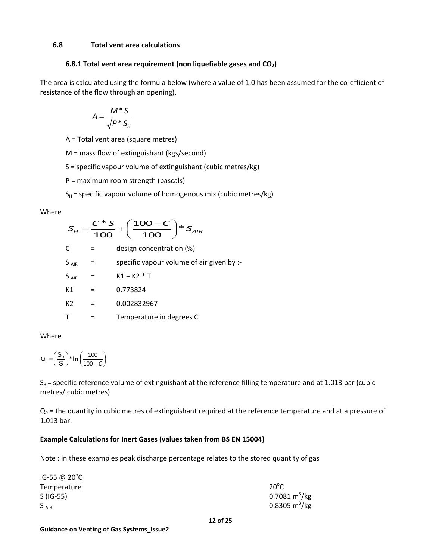#### **6.8 Total vent area calculations**

#### **6.8.1 Total vent area requirement (non liquefiable gases and CO2)**

The area is calculated using the formula below (where a value of 1.0 has been assumed for the co-efficient of resistance of the flow through an opening).

$$
A = \frac{M * S}{\sqrt{P * S_{H}}}
$$

A = Total vent area (square metres)

M = mass flow of extinguishant (kgs/second)

S = specific vapour volume of extinguishant (cubic metres/kg)

P = maximum room strength (pascals)

 $S_H$  = specific vapour volume of homogenous mix (cubic metres/kg)

#### Where

$$
S_{H} = \frac{C \cdot S}{100} + \left(\frac{100 - C}{100}\right) \cdot S_{AIR}
$$
  
\nC = design concentration (%)  
\n
$$
S_{AIR} = \text{specific vapour volume of air given by :}
$$
  
\n
$$
S_{AIR} = K1 + K2 \cdot T
$$
  
\n
$$
K1 = 0.773824
$$
  
\n
$$
K2 = 0.002832967
$$
  
\n
$$
T = \text{Temperature in degrees C}
$$

Where

$$
Q_R = \left(\frac{S_R}{S}\right) * In \left(\frac{100}{100 - C}\right)
$$

 $S_R$  = specific reference volume of extinguishant at the reference filling temperature and at 1.013 bar (cubic metres/ cubic metres)

 $Q_R$  = the quantity in cubic metres of extinguishant required at the reference temperature and at a pressure of 1.013 bar.

## **Example Calculations for Inert Gases (values taken from BS EN 15004)**

Note : in these examples peak discharge percentage relates to the stored quantity of gas

| $IG-55 @ 20^{\circ}C$ |                     |
|-----------------------|---------------------|
| Temperature           | $20^{\circ}$ C      |
| $S(IG-55)$            | 0.7081 $m^3$ /kg    |
| $S_{AIR}$             | 0.8305 $\rm m^3/kg$ |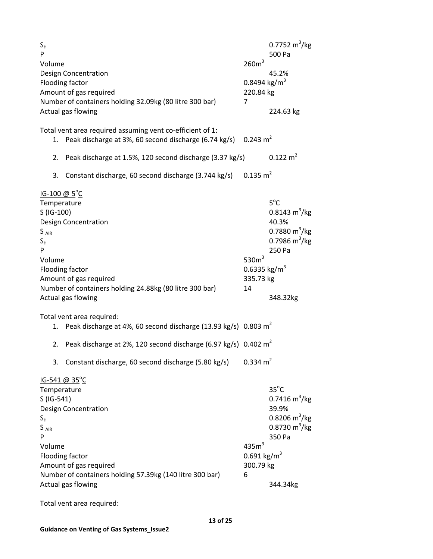| $S_{H}$<br>P<br>Volume                                                                              | <b>Design Concentration</b><br>Flooding factor<br>Amount of gas required<br>Number of containers holding 32.09kg (80 litre 300 bar)<br>Actual gas flowing  | 260m <sup>3</sup><br>0.8494 kg/m <sup>3</sup><br>220.84 kg<br>7 | $0.7752 \text{ m}^3/\text{kg}$<br>500 Pa<br>45.2%<br>224.63 kg                                                           |
|-----------------------------------------------------------------------------------------------------|------------------------------------------------------------------------------------------------------------------------------------------------------------|-----------------------------------------------------------------|--------------------------------------------------------------------------------------------------------------------------|
| 1.                                                                                                  | Total vent area required assuming vent co-efficient of 1:<br>Peak discharge at 3%, 60 second discharge (6.74 kg/s)                                         | $0.243 \text{ m}^2$                                             |                                                                                                                          |
|                                                                                                     | 2. Peak discharge at 1.5%, 120 second discharge (3.37 kg/s)                                                                                                |                                                                 | $0.122 \text{ m}^2$                                                                                                      |
| 3.                                                                                                  | Constant discharge, 60 second discharge (3.744 kg/s)                                                                                                       | $0.135 \text{ m}^2$                                             |                                                                                                                          |
| $IG-100 \ @ 5^{\circ}C$<br>Temperature<br>S (IG-100)<br>$S_{AIR}$<br>$S_{H}$<br>P<br>Volume         | <b>Design Concentration</b><br>Flooding factor<br>Amount of gas required<br>Number of containers holding 24.88kg (80 litre 300 bar)<br>Actual gas flowing  | 530 $m3$<br>0.6335 kg/m <sup>3</sup><br>335.73 kg<br>14         | $5^{\circ}$ C<br>$0.8143 \text{ m}^3/\text{kg}$<br>40.3%<br>0.7880 $\rm m^3/kg$<br>0.7986 $m^3/kg$<br>250 Pa<br>348.32kg |
| 1.                                                                                                  | Total vent area required:<br>Peak discharge at 4%, 60 second discharge (13.93 kg/s) 0.803 m <sup>2</sup>                                                   |                                                                 |                                                                                                                          |
|                                                                                                     | 2. Peak discharge at 2%, 120 second discharge (6.97 kg/s) $0.402 \text{ m}^2$                                                                              |                                                                 |                                                                                                                          |
| 3.                                                                                                  | Constant discharge, 60 second discharge (5.80 kg/s)                                                                                                        | $0.334 \text{ m}^2$                                             |                                                                                                                          |
| <u>IG-541 @ 35<sup>°</sup>C</u><br>Temperature<br>S (IG-541)<br>$S_{H}$<br>$S_{AIR}$<br>P<br>Volume | <b>Design Concentration</b><br>Flooding factor<br>Amount of gas required<br>Number of containers holding 57.39kg (140 litre 300 bar)<br>Actual gas flowing | 435m <sup>3</sup><br>$0.691 \text{ kg/m}^3$<br>300.79 kg<br>6   | $35^{\circ}$ C<br>0.7416 $\rm m^3/kg$<br>39.9%<br>0.8206 $m^3/kg$<br>0.8730 $m^3/kg$<br>350 Pa<br>344.34kg               |

Total vent area required: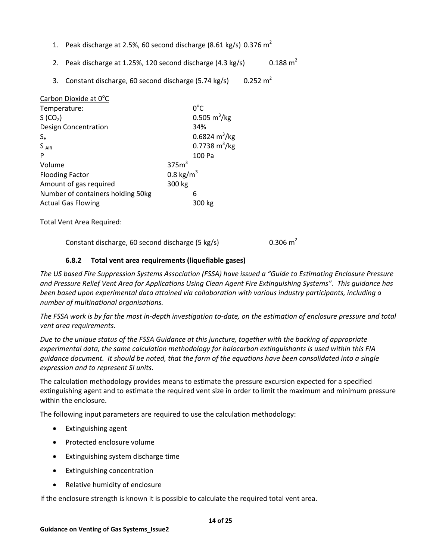- 1. Peak discharge at 2.5%, 60 second discharge (8.61 kg/s) 0.376  $m^2$
- 2. Peak discharge at 1.25%, 120 second discharge  $(4.3 \text{ kg/s})$  $0.188 \text{ m}^2$
- 3. Constant discharge, 60 second discharge (5.74 kg/s)  $0.252 \text{ m}^2$

| Carbon Dioxide at 0°C             |                      |                               |
|-----------------------------------|----------------------|-------------------------------|
| Temperature:                      |                      | $0^{\circ}$ C                 |
| S (CO <sub>2</sub> )              |                      | $0.505 \text{ m}^3/\text{kg}$ |
| Design Concentration              |                      | 34%                           |
| $S_{H}$                           |                      | 0.6824 $m^3/kg$               |
| $S_{AIR}$                         |                      | 0.7738 $m^3/kg$               |
| P                                 |                      | 100 Pa                        |
| Volume                            | 375m <sup>3</sup>    |                               |
| <b>Flooding Factor</b>            | $0.8 \text{ kg/m}^3$ |                               |
| Amount of gas required            | 300 kg               |                               |
| Number of containers holding 50kg |                      | 6                             |
| <b>Actual Gas Flowing</b>         |                      | 300 kg                        |

Total Vent Area Required:

Constant discharge, 60 second discharge (5 kg/s)  $0.306 \text{ m}^2$ 

## **6.8.2 Total vent area requirements (liquefiable gases)**

*The US based Fire Suppression Systems Association (FSSA) have issued a "Guide to Estimating Enclosure Pressure and Pressure Relief Vent Area for Applications Using Clean Agent Fire Extinguishing Systems". This guidance has been based upon experimental data attained via collaboration with various industry participants, including a number of multinational organisations.*

*The FSSA work is by far the most in-depth investigation to-date, on the estimation of enclosure pressure and total vent area requirements.* 

*Due to the unique status of the FSSA Guidance at this juncture, together with the backing of appropriate experimental data, the same calculation methodology for halocarbon extinguishants is used within this FIA guidance document. It should be noted, that the form of the equations have been consolidated into a single expression and to represent SI units.*

The calculation methodology provides means to estimate the pressure excursion expected for a specified extinguishing agent and to estimate the required vent size in order to limit the maximum and minimum pressure within the enclosure.

The following input parameters are required to use the calculation methodology:

- Extinguishing agent
- Protected enclosure volume
- Extinguishing system discharge time
- Extinguishing concentration
- Relative humidity of enclosure

If the enclosure strength is known it is possible to calculate the required total vent area.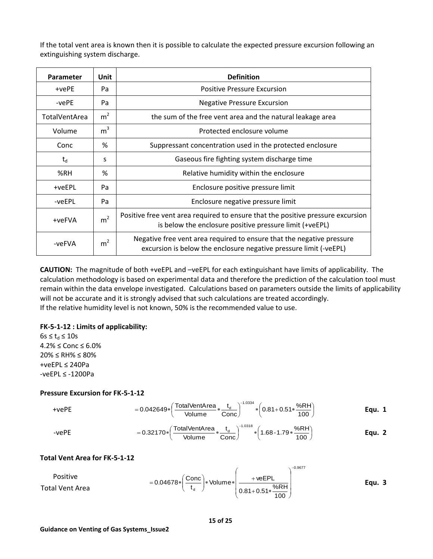If the total vent area is known then it is possible to calculate the expected pressure excursion following an extinguishing system discharge.

| <b>Parameter</b>     | Unit           | <b>Definition</b>                                                                                                                          |
|----------------------|----------------|--------------------------------------------------------------------------------------------------------------------------------------------|
| $+vePE$              | Pa             | <b>Positive Pressure Excursion</b>                                                                                                         |
| -vePE                | Pa             | <b>Negative Pressure Excursion</b>                                                                                                         |
| <b>TotalVentArea</b> | m <sup>2</sup> | the sum of the free vent area and the natural leakage area                                                                                 |
| Volume               | m <sup>3</sup> | Protected enclosure volume                                                                                                                 |
| Conc                 | %              | Suppressant concentration used in the protected enclosure                                                                                  |
| $t_{d}$              | S              | Gaseous fire fighting system discharge time                                                                                                |
| %RH                  | %              | Relative humidity within the enclosure                                                                                                     |
| +veEPL               | Pa             | Enclosure positive pressure limit                                                                                                          |
| -veEPL               | Pa             | Enclosure negative pressure limit                                                                                                          |
| +veFVA               | m <sup>2</sup> | Positive free vent area required to ensure that the positive pressure excursion<br>is below the enclosure positive pressure limit (+veEPL) |
| -veFVA               | m <sup>2</sup> | Negative free vent area required to ensure that the negative pressure<br>excursion is below the enclosure negative pressure limit (-veEPL) |

**CAUTION:** The magnitude of both +veEPL and –veEPL for each extinguishant have limits of applicability. The calculation methodology is based on experimental data and therefore the prediction of the calculation tool must remain within the data envelope investigated. Calculations based on parameters outside the limits of applicability will not be accurate and it is strongly advised that such calculations are treated accordingly. If the relative humidity level is not known, 50% is the recommended value to use.

#### **FK-5-1-12 : Limits of applicability:**

 $6s \le t_d \le 10s$ 4.2% ≤ Conc ≤ 6.0% 20% ≤ RH% ≤ 80% +veEPL ≤ 240Pa -veEPL ≤ -1200Pa

#### **Pressure Excursion for FK-5-1-12**

+vePE = 0.042649\* 
$$
\left(\frac{\text{TotalVenthArea}}{\text{Volume}} * \frac{t_d}{\text{Conc}}\right)^{-1.0334} * \left(0.81 + 0.51 * \frac{\%RH}{100}\right)
$$
 Equ. 1

-vePE = 0.32170\* 
$$
\left(\frac{\text{TotalVentArea}}{\text{Volume}} * \frac{t_d}{\text{Cone}}\right)^{-1.0318} * \left(1.68 - 1.79 * \frac{%RH}{100}\right)
$$
 Equ. 2

## **Total Vent Area for FK-5-1-12**

Positive

\n
$$
= 0.04678 \cdot \left( \frac{\text{Conc}}{t_d} \right) \cdot \text{Volume} \cdot \left( \frac{\text{+veEPL}}{0.81 + 0.51 \cdot \frac{\%RH}{100}} \right)^{-0.9677}
$$
\nEqu. 3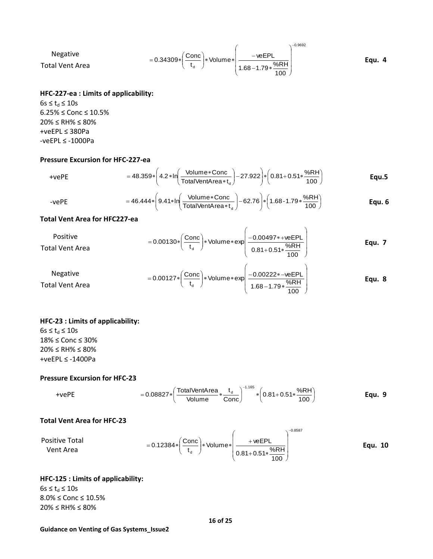Negative  
Total Vent Area = 0.34309\*
$$
\left(\frac{\text{Conc}}{t_d}\right)
$$
\* Volume\* $\left(\frac{\text{-veEPL}}{1.68-1.79*\frac{\%RH}{100}}\right)^{-0.9692}$  Equ. 4

#### **HFC-227-ea : Limits of applicability:**

 $6s \le t_d \le 10s$ 6.25% ≤ Conc ≤ 10.5% 20% ≤ RH% ≤ 80% +veEPL ≤ 380Pa -veEPL ≤ -1000Pa

# **Pressure Excursion for HFC-227-ea**

+vePE = 
$$
48.359 * \left( 4.2 * \ln \left( \frac{\text{Volume} * \text{Conc}}{\text{TotalVentArea} * t_{d}} \right) - 27.922 \right) * \left( 0.81 + 0.51 * \frac{%RH}{100} \right)
$$
Equ.5

<span id="page-15-1"></span><span id="page-15-0"></span>-vePE = 
$$
46.444 * \left(9.41 * \ln \left(\frac{\text{Volume} * \text{Conc}}{\text{TotalVentArea} * t_a}\right) - 62.76\right) * \left(1.68 - 1.79 * \frac{\%RH}{100}\right)
$$
 Equ. 6

## **Total Vent Area for HFC227-ea**

| Positive<br>Total Vent Area | $= 0.00130 * \left(\frac{\text{Conc}}{t_d}\right) * \text{Volume} * \exp\left(\frac{-0.00497 * + \text{weEPL}}{0.81 + 0.51 * \frac{\% \text{RH}}{1.00}}\right)$ |     | Equ. 7 |
|-----------------------------|-----------------------------------------------------------------------------------------------------------------------------------------------------------------|-----|--------|
|                             |                                                                                                                                                                 | 100 |        |

Negative  
\nTotal Vent Area = 0.00127\* 
$$
\left(\frac{\text{Conc}}{t_d}\right)
$$
 \* Volume\* exp  $\left(\frac{-0.00222*-veEPL}{1.68-1.79*\frac{%RH}{100}}\right)$  Equ. 8

## **HFC-23 : Limits of applicability:**

 $6s \le t_d \le 10s$ 18% ≤ Conc ≤ 30% 20% ≤ RH% ≤ 80% +veEPL ≤ -1400Pa

#### **Pressure Excursion for HFC-23**

+vePE = 0.08827 \* 
$$
\left(\frac{\text{TotalVenthArea}}{\text{Volume}} * \frac{t_d}{\text{Cone}}\right)^{-1.165} * \left(0.81 + 0.51 * \frac{\%RH}{100}\right)
$$
 Equ. 9

#### **Total Vent Area for HFC-23**

Positive Total

\n
$$
= 0.12384 * \left( \frac{\text{Conc}}{t_d} \right) * \text{Volume} * \left( \frac{\text{+veEPL}}{0.81 + 0.51 * \frac{\%RH}{100}} \right)^{-0.8587}
$$
\nEqu. 10

## **HFC-125 : Limits of applicability:**  $6s \le t_d \le 10s$

8.0% ≤ Conc ≤ 10.5% 20% ≤ RH% ≤ 80%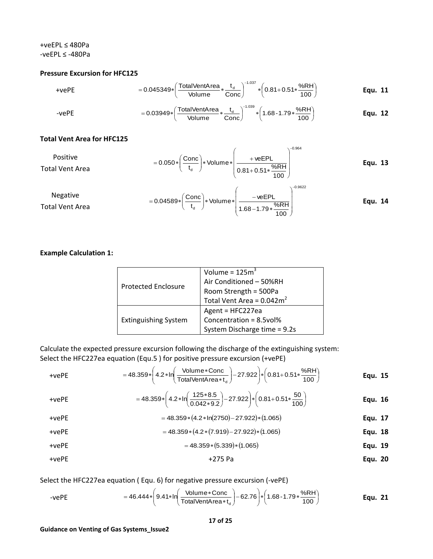#### +veEPL ≤ 480Pa -veEPL ≤ -480Pa

#### **Pressure Excursion for HFC125**

+vePE = 0.045349\* 
$$
\left(\frac{\text{TotalVentArea}}{\text{Volume}} * \frac{t_d}{\text{Conc}}\right)^{-1.037} * \left(0.81 + 0.51 * \frac{%RH}{100}\right)
$$
 Equ. 11

-vePE = 
$$
0.03949 * \left( \frac{\text{TotalVentArea}}{\text{Volume}} * \frac{t_d}{\text{Cone}} \right)^{-1.039} * \left( 1.68 - 1.79 * \frac{%RH}{100} \right)
$$
 Equ. 12

#### **Total Vent Area for HFC125**

Positive

\n
$$
= 0.050 * \left( \frac{\text{Conc}}{t_d} \right) * \text{ Volume} * \left( \frac{\text{+veEPL}}{0.81 + 0.51 * \frac{\%RH}{100}} \right)^{-0.964} \qquad \text{Equ. 13}
$$

Negative  
Total Vent Area = 0.04589\* 
$$
\left(\frac{\text{Conc}}{t_d}\right)
$$
 \* Volume\*  $\left(\frac{\text{-veEPL}}{1.68-1.79*\frac{\%RH}{100}}\right)^{-0.9622}$  Equ. 14

# **Example Calculation 1:**

| <b>Protected Enclosure</b>  | Volume = $125m3$                                              |
|-----------------------------|---------------------------------------------------------------|
|                             | Air Conditioned - 50%RH                                       |
|                             |                                                               |
|                             | Room Strength = 500Pa<br>Total Vent Area = $0.042 \text{m}^2$ |
|                             | Agent = HFC227ea                                              |
| <b>Extinguishing System</b> | Concentration = 8.5vol%                                       |
|                             | System Discharge time = 9.2s                                  |

Calculate the expected pressure excursion following the discharge of the extinguishing system: Select the HFC227ea equation [\(Equ.5](#page-15-0) ) for positive pressure excursion (+vePE)

+vePE = 48.359\* 
$$
\left(4.2*\ln\left(\frac{\text{Volume} * \text{Conc}}{\text{TotalVentArea}*t_a}\right) - 27.922\right) * \left(0.81+0.51*\frac{\%RH}{100}\right)
$$
 Equ. 15

+vePE = 
$$
= 48.359 * \left( 4.2 * \ln \left( \frac{125 * 8.5}{0.042 * 9.2} \right) - 27.922 \right) * \left( 0.81 + 0.51 * \frac{50}{100} \right)
$$
Equ. 16

$$
+vePE = 48.359*(4.2*ln(2750)-27.922)*(1.065)
$$
Equ. 17

+vePE = 
$$
48.359*(4.2*(7.919)-27.922)*(1.065)
$$

$$
+vePE = 48.359*(5.339)*(1.065)
$$
Equ. 19

+vePE +275 Pa **Equ. 20**

Select the HFC227ea equation ( [Equ. 6](#page-15-1)) for negative pressure excursion (-vePE)

-vePE = 
$$
46.444 * \left( 9.41 * \ln \left( \frac{\text{Volume} * \text{Conc}}{\text{TotalVentArea} * t_{d}} \right) - 62.76 \right) * \left( 1.68 - 1.79 * \frac{\%RH}{100} \right)
$$
 Equ. 21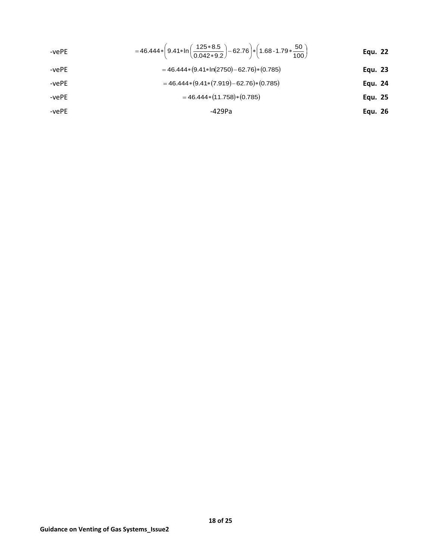-vePE = 
$$
=46.444*\left(9.41*\ln\left(\frac{125*8.5}{0.042*9.2}\right)-62.76\right)*\left(1.68-1.79*\frac{50}{100}\right)
$$
Equ. 22

-vePE = 
$$
46.444*(9.41*ln(2750)-62.76)*(0.785)
$$

-vePE = 
$$
46.444*(9.41*(7.919)-62.76)*(0.785)
$$

-vePE = 
$$
46.444*(11.758)*(0.785)
$$

$$
-429Pa
$$
 **Equ. 26**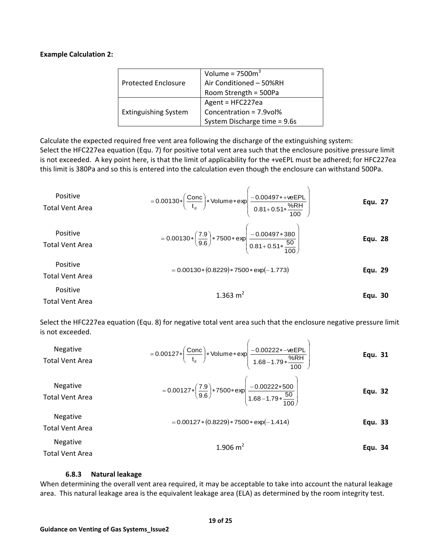#### **Example Calculation 2:**

|                             | Volume = $7500m3$            |
|-----------------------------|------------------------------|
| <b>Protected Enclosure</b>  | Air Conditioned - 50%RH      |
|                             | Room Strength = 500Pa        |
|                             | Agent = HFC227ea             |
| <b>Extinguishing System</b> | Concentration = 7.9vol%      |
|                             | System Discharge time = 9.6s |

Calculate the expected required free vent area following the discharge of the extinguishing system: Select the HFC227ea equation (Equ. 7) for positive total vent area such that the enclosure positive pressure limit is not exceeded. A key point here, is that the limit of applicability for the +veEPL must be adhered; for HFC227ea this limit is 380Pa and so this is entered into the calculation even though the enclosure can withstand 500Pa.

Positive  
\nTotal Vent Area  
\nTotal Vent Area  
\nTotal Vent Area  
\nPositive  
\nPositive  
\nTotal Vent Area  
\nTotal Vent Area  
\nPositive  
\nPositive  
\nPositive  
\nPositive  
\n0.00130\* 
$$
\left(\frac{7.9}{9.6}\right) * 7500 * exp \left(\frac{-0.00497 * + weEPL}{0.81 + 0.51 * \frac{50}{100}}\right)
$$
  
\n $= 0.00130 * \left(\frac{7.9}{9.6}\right) * 7500 * exp \left(\frac{-0.00497 * 380}{0.81 + 0.51 * \frac{50}{100}}\right)$   
\n $= 0.00130 * (0.8229) * 7500 * exp (-1.773)$   
\nTotal Vent Area  
\nTotal Vent Area  
\nTotal Vent Area  
\nTotal Vent Area  
\nTotal Vent Area  
\nTotal Vent Area  
\nTotal Vent Area  
\nTotal Vent Area  
\nTotal

Select the HFC227ea equation (Equ. 8) for negative total vent area such that the enclosure negative pressure limit is not exceeded.  $\mathbf{r}$  $\overline{ }$ 

| <b>Negative</b><br><b>Total Vent Area</b> | $= 0.00127 * \left(\frac{\text{Conc}}{t_d}\right) * \text{Volume} * \exp\left(\frac{-0.00222 * - \text{veEPL}}{1.68 - 1.79 * \frac{\% \text{RH}}{100}}\right)$ | Equ. 31 |
|-------------------------------------------|----------------------------------------------------------------------------------------------------------------------------------------------------------------|---------|
| <b>Negative</b><br><b>Total Vent Area</b> | $= 0.00127 * \left(\frac{7.9}{9.6}\right) * 7500 * exp \left(\frac{-0.00222 * 500}{1.68 - 1.79 * \frac{50}{100}}\right)$                                       | Equ. 32 |
| <b>Negative</b><br><b>Total Vent Area</b> | $= 0.00127 * (0.8229) * 7500 * exp(-1.414)$                                                                                                                    | Equ. 33 |
| <b>Negative</b><br><b>Total Vent Area</b> | 1.906 $m2$                                                                                                                                                     | Equ. 34 |

#### **6.8.3 Natural leakage**

When determining the overall vent area required, it may be acceptable to take into account the natural leakage area. This natural leakage area is the equivalent leakage area (ELA) as determined by the room integrity test.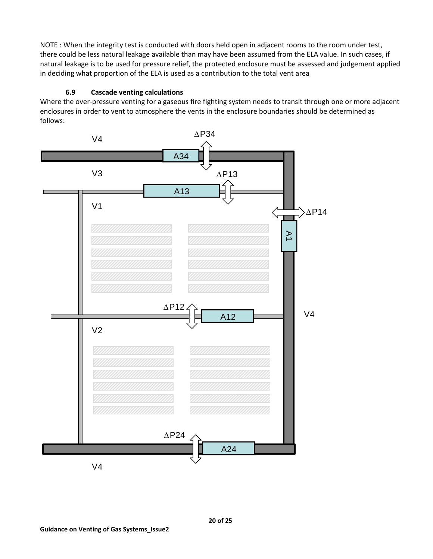NOTE : When the integrity test is conducted with doors held open in adjacent rooms to the room under test, there could be less natural leakage available than may have been assumed from the ELA value. In such cases, if natural leakage is to be used for pressure relief, the protected enclosure must be assessed and judgement applied in deciding what proportion of the ELA is used as a contribution to the total vent area

# **6.9 Cascade venting calculations**

Where the over-pressure venting for a gaseous fire fighting system needs to transit through one or more adjacent enclosures in order to vent to atmosphere the vents in the enclosure boundaries should be determined as follows:

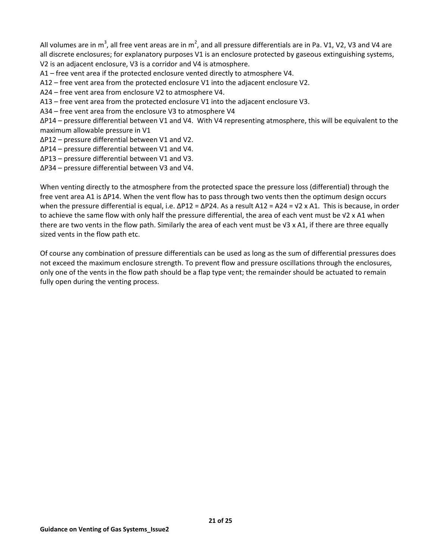All volumes are in m<sup>3</sup>, all free vent areas are in m<sup>2</sup>, and all pressure differentials are in Pa. V1, V2, V3 and V4 are all discrete enclosures; for explanatory purposes V1 is an enclosure protected by gaseous extinguishing systems, V2 is an adjacent enclosure, V3 is a corridor and V4 is atmosphere.

A1 – free vent area if the protected enclosure vented directly to atmosphere V4.

- A12 free vent area from the protected enclosure V1 into the adjacent enclosure V2.
- A24 free vent area from enclosure V2 to atmosphere V4.
- A13 free vent area from the protected enclosure V1 into the adjacent enclosure V3.
- A34 free vent area from the enclosure V3 to atmosphere V4

∆P14 – pressure differential between V1 and V4. With V4 representing atmosphere, this will be equivalent to the maximum allowable pressure in V1

- ∆P12 pressure differential between V1 and V2.
- ∆P14 pressure differential between V1 and V4.
- ∆P13 pressure differential between V1 and V3.
- ∆P34 pressure differential between V3 and V4.

When venting directly to the atmosphere from the protected space the pressure loss (differential) through the free vent area A1 is ∆P14. When the vent flow has to pass through two vents then the optimum design occurs when the pressure differential is equal, i.e. ΔP12 = ΔP24. As a result A12 = A24 = √2 x A1. This is because, in order to achieve the same flow with only half the pressure differential, the area of each vent must be √2 x A1 when there are two vents in the flow path. Similarly the area of each vent must be √3 x A1, if there are three equally sized vents in the flow path etc.

Of course any combination of pressure differentials can be used as long as the sum of differential pressures does not exceed the maximum enclosure strength. To prevent flow and pressure oscillations through the enclosures, only one of the vents in the flow path should be a flap type vent; the remainder should be actuated to remain fully open during the venting process.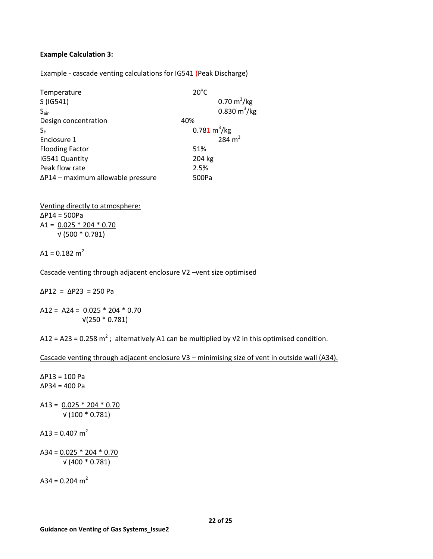## **Example Calculation 3:**

#### Example - cascade venting calculations for IG541 (Peak Discharge)

| Temperature                               | $20^{\circ}$ C                |                              |
|-------------------------------------------|-------------------------------|------------------------------|
| S(IG541)                                  |                               | $0.70 \text{ m}^3/\text{kg}$ |
| $S_{\text{air}}$                          |                               | 0.830 $m^3/kg$               |
| Design concentration                      | 40%                           |                              |
| $S_{H}$                                   | $0.781 \text{ m}^3/\text{kg}$ |                              |
| Enclosure 1                               |                               | 284 $m3$                     |
| <b>Flooding Factor</b>                    | 51%                           |                              |
| IG541 Quantity                            | 204 kg                        |                              |
| Peak flow rate                            | 2.5%                          |                              |
| $\Delta$ P14 – maximum allowable pressure | 500Pa                         |                              |

Venting directly to atmosphere: ∆P14 = 500Pa A1 =  $0.025 * 204 * 0.70$ √ (500 \* 0.781)

A1 =  $0.182$  m<sup>2</sup>

Cascade venting through adjacent enclosure V2 –vent size optimised

∆P12 = ∆P23 = 250 Pa

A12 = A24 =  $0.025 * 204 * 0.70$ √(250 \* 0.781)

A12 = A23 = 0.258 m<sup>2</sup>; alternatively A1 can be multiplied by  $\sqrt{2}$  in this optimised condition.

Cascade venting through adjacent enclosure V3 – minimising size of vent in outside wall (A34).

∆P13 = 100 Pa ∆P34 = 400 Pa A13 =  $0.025 * 204 * 0.70$  √ (100 \* 0.781) A13 =  $0.407$  m<sup>2</sup> A34 =  $0.025 * 204 * 0.70$ √ (400 \* 0.781)

A34 =  $0.204$  m<sup>2</sup>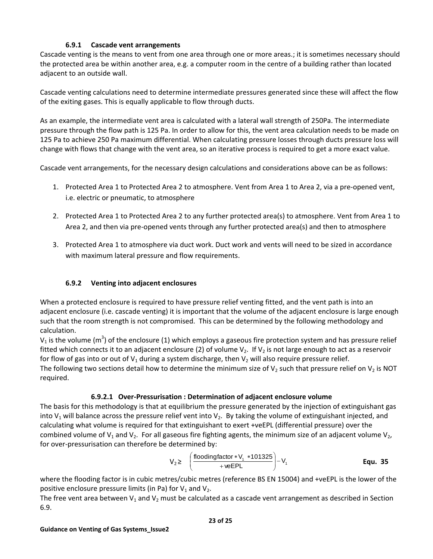## **6.9.1 Cascade vent arrangements**

Cascade venting is the means to vent from one area through one or more areas.; it is sometimes necessary should the protected area be within another area, e.g. a computer room in the centre of a building rather than located adjacent to an outside wall.

Cascade venting calculations need to determine intermediate pressures generated since these will affect the flow of the exiting gases. This is equally applicable to flow through ducts.

As an example, the intermediate vent area is calculated with a lateral wall strength of 250Pa. The intermediate pressure through the flow path is 125 Pa. In order to allow for this, the vent area calculation needs to be made on 125 Pa to achieve 250 Pa maximum differential. When calculating pressure losses through ducts pressure loss will change with flows that change with the vent area, so an iterative process is required to get a more exact value.

Cascade vent arrangements, for the necessary design calculations and considerations above can be as follows:

- 1. Protected Area 1 to Protected Area 2 to atmosphere. Vent from Area 1 to Area 2, via a pre-opened vent, i.e. electric or pneumatic, to atmosphere
- 2. Protected Area 1 to Protected Area 2 to any further protected area(s) to atmosphere. Vent from Area 1 to Area 2, and then via pre-opened vents through any further protected area(s) and then to atmosphere
- 3. Protected Area 1 to atmosphere via duct work. Duct work and vents will need to be sized in accordance with maximum lateral pressure and flow requirements.

# **6.9.2 Venting into adjacent enclosures**

When a protected enclosure is required to have pressure relief venting fitted, and the vent path is into an adjacent enclosure (i.e. cascade venting) it is important that the volume of the adjacent enclosure is large enough such that the room strength is not compromised. This can be determined by the following methodology and calculation.

V<sub>1</sub> is the volume (m<sup>3</sup>) of the enclosure (1) which employs a gaseous fire protection system and has pressure relief fitted which connects it to an adjacent enclosure (2) of volume  $V_2$ . If  $V_2$  is not large enough to act as a reservoir for flow of gas into or out of  $V_1$  during a system discharge, then  $V_2$  will also require pressure relief. The following two sections detail how to determine the minimum size of  $V_2$  such that pressure relief on  $V_2$  is NOT required.

## **6.9.2.1 Over-Pressurisation : Determination of adjacent enclosure volume**

The basis for this methodology is that at equilibrium the pressure generated by the injection of extinguishant gas into  $V_1$  will balance across the pressure relief vent into  $V_2$ . By taking the volume of extinguishant injected, and calculating what volume is required for that extinguishant to exert +veEPL (differential pressure) over the combined volume of  $V_1$  and  $V_2$ . For all gaseous fire fighting agents, the minimum size of an adjacent volume  $V_2$ , for over-pressurisation can therefore be determined by:

<span id="page-22-0"></span>
$$
V_2 \geq \left(\frac{\text{floodingfactor} * V_1 * 101325}{+ \text{veEPL}}\right) - V_1
$$
 \nEqu. 35

where the flooding factor is in cubic metres/cubic metres (reference BS EN 15004) and +veEPL is the lower of the positive enclosure pressure limits (in Pa) for  $V_1$  and  $V_2$ .

The free vent area between  $V_1$  and  $V_2$  must be calculated as a cascade vent arrangement as described in Section 6.9.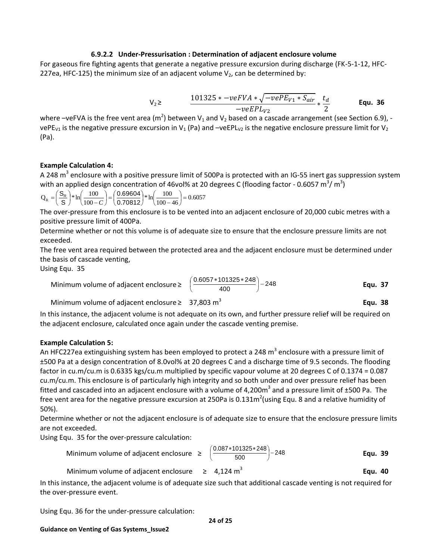#### **6.9.2.2 Under-Pressurisation : Determination of adjacent enclosure volume**

For gaseous fire fighting agents that generate a negative pressure excursion during discharge (FK-5-1-12, HFC-227ea, HFC-125) the minimum size of an adjacent volume  $V_2$ , can be determined by:

$$
V_2 \geq \frac{101325 * -veFVA * \sqrt{-vePE_{V1} * S_{air}}}{-veEPL_{V2}} * \frac{t_d}{2}
$$
 Equ. 36

where –veFVA is the free vent area (m<sup>2</sup>) between V<sub>1</sub> and V<sub>2</sub> based on a cascade arrangement (see Section 6.9), vePE<sub>V1</sub> is the negative pressure excursion in V<sub>1</sub> (Pa) and –veEPL<sub>V2</sub> is the negative enclosure pressure limit for V<sub>2</sub> (Pa).

## **Example Calculation 4:**

A 248 m<sup>3</sup> enclosure with a positive pressure limit of 500Pa is protected with an IG-55 inert gas suppression system with an applied design concentration of 46vol% at 20 degrees C (flooding factor - 0.6057 m<sup>3</sup>/m<sup>3</sup>)

$$
Q_R = \left(\frac{S_R}{S}\right) * ln\left(\frac{100}{100 - C}\right) = \left(\frac{0.69604}{0.70812}\right) * ln\left(\frac{100}{100 - 46}\right) = 0.6057
$$

The over-pressure from this enclosure is to be vented into an adjacent enclosure of 20,000 cubic metres with a positive pressure limit of 400Pa.

Determine whether or not this volume is of adequate size to ensure that the enclosure pressure limits are not exceeded.

The free vent area required between the protected area and the adjacent enclosure must be determined under the basis of cascade venting,

Using [Equ. 35](#page-22-0)

Minimum volume of adjacent enclosure ≥ 
$$
\left(\frac{0.6057 * 101325 * 248}{400}\right)
$$
 - 248 **Equ. 37**

Minimum volume of adjacent enclosure  $\geq 37,803$  m<sup>3</sup>

In this instance, the adjacent volume is not adequate on its own, and further pressure relief will be required on the adjacent enclosure, calculated once again under the cascade venting premise.

#### **Example Calculation 5:**

An HFC227ea extinguishing system has been employed to protect a 248  $\text{m}^3$  enclosure with a pressure limit of ±500 Pa at a design concentration of 8.0vol% at 20 degrees C and a discharge time of 9.5 seconds. The flooding factor in cu.m/cu.m is 0.6335 kgs/cu.m multiplied by specific vapour volume at 20 degrees C of 0.1374 = 0.087 cu.m/cu.m. This enclosure is of particularly high integrity and so both under and over pressure relief has been fitted and cascaded into an adjacent enclosure with a volume of 4,200 $m^3$  and a pressure limit of ±500 Pa. The free vent area for the negative pressure excursion at 250Pa is 0.131m<sup>2</sup> (using Equ. 8 and a relative humidity of 50%).

Determine whether or not the adjacent enclosure is of adequate size to ensure that the enclosure pressure limits are not exceeded.

Using [Equ. 35](#page-22-0) for the over-pressure calculation:

Minimum volume of adjacent enclosure

$$
\geq \left(\frac{0.087*101325*248}{500}\right) - 248
$$
 \t**Equ. 39**

**Equ. 38**

**Equ. 40**

Minimum volume of adjacent enclosure  $\geq$  4,124 m<sup>3</sup>

In this instance, the adjacent volume is of adequate size such that additional cascade venting is not required for the over-pressure event.

Using Equ. 36 for the under-pressure calculation:

**Guidance on Venting of Gas Systems\_Issue2**